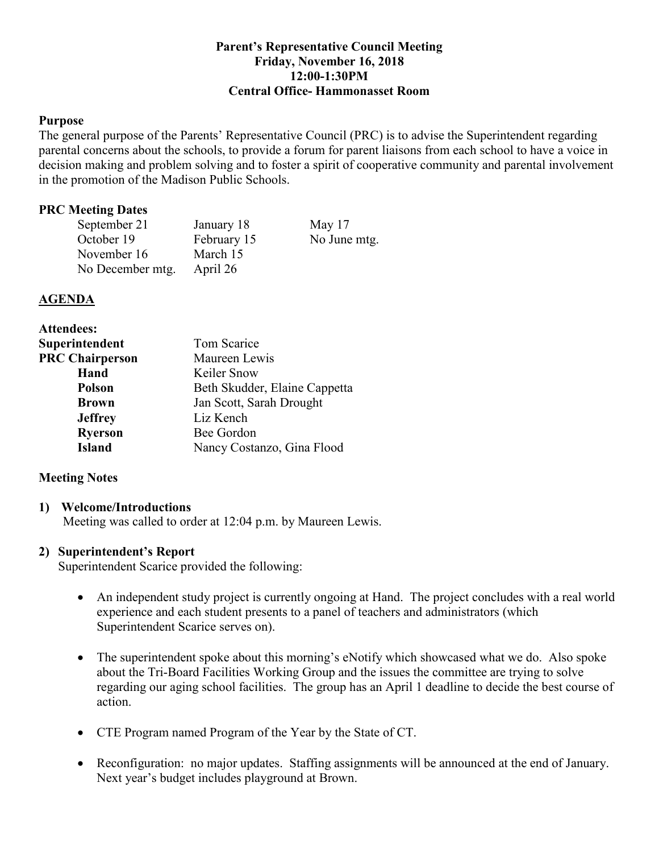## **Parent's Representative Council Meeting Friday, November 16, 2018 12:00-1:30PM Central Office- Hammonasset Room**

## **Purpose**

The general purpose of the Parents' Representative Council (PRC) is to advise the Superintendent regarding parental concerns about the schools, to provide a forum for parent liaisons from each school to have a voice in decision making and problem solving and to foster a spirit of cooperative community and parental involvement in the promotion of the Madison Public Schools.

#### **PRC Meeting Dates**

| September 21     | January 18  | May $17$     |
|------------------|-------------|--------------|
| October 19       | February 15 | No June mtg. |
| November 16      | March 15    |              |
| No December mtg. | April 26    |              |

## **AGENDA**

| Tom Scarice                   |  |
|-------------------------------|--|
| Maureen Lewis                 |  |
| Keiler Snow                   |  |
| Beth Skudder, Elaine Cappetta |  |
| Jan Scott, Sarah Drought      |  |
| Liz Kench                     |  |
| Bee Gordon                    |  |
| Nancy Costanzo, Gina Flood    |  |
|                               |  |

## **Meeting Notes**

#### **1) Welcome/Introductions**

Meeting was called to order at 12:04 p.m. by Maureen Lewis.

## **2) Superintendent's Report**

Superintendent Scarice provided the following:

- An independent study project is currently ongoing at Hand. The project concludes with a real world experience and each student presents to a panel of teachers and administrators (which Superintendent Scarice serves on).
- The superintendent spoke about this morning's eNotify which showcased what we do. Also spoke about the Tri-Board Facilities Working Group and the issues the committee are trying to solve regarding our aging school facilities. The group has an April 1 deadline to decide the best course of action.
- CTE Program named Program of the Year by the State of CT.
- Reconfiguration: no major updates. Staffing assignments will be announced at the end of January. Next year's budget includes playground at Brown.